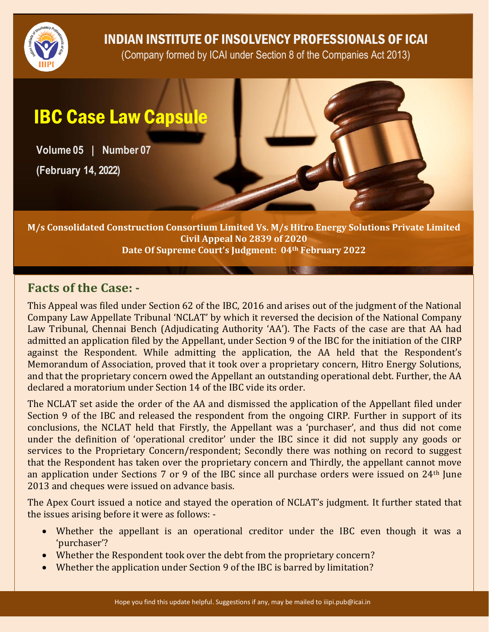

## INDIAN INSTITUTE OF INSOLVENCY PROFESSIONALS OF ICAI

(Company formed by ICAI under Section 8 of the Companies Act 2013)

# IBC Case Law Capsule

**Volume 05 | Number 07**

**(February 14, 2022)**

**M/s Consolidated Construction Consortium Limited Vs. M/s Hitro Energy Solutions Private Limited Civil Appeal No 2839 of 2020 Date Of Supreme Court's Judgment: 04th February 2022**

#### **Facts of the Case: -**

This Appeal was filed under Section 62 of the IBC, 2016 and arises out of the judgment of the National Company Law Appellate Tribunal 'NCLAT' by which it reversed the decision of the National Company Law Tribunal, Chennai Bench (Adjudicating Authority 'AA'). The Facts of the case are that AA had admitted an application filed by the Appellant, under Section 9 of the IBC for the initiation of the CIRP against the Respondent. While admitting the application, the AA held that the Respondent's Memorandum of Association, proved that it took over a proprietary concern, Hitro Energy Solutions, and that the proprietary concern owed the Appellant an outstanding operational debt. Further, the AA declared a moratorium under Section 14 of the IBC vide its order.

The NCLAT set aside the order of the AA and dismissed the application of the Appellant filed under Section 9 of the IBC and released the respondent from the ongoing CIRP. Further in support of its conclusions, the NCLAT held that Firstly, the Appellant was a 'purchaser', and thus did not come under the definition of 'operational creditor' under the IBC since it did not supply any goods or services to the Proprietary Concern/respondent; Secondly there was nothing on record to suggest that the Respondent has taken over the proprietary concern and Thirdly, the appellant cannot move an application under Sections 7 or 9 of the IBC since all purchase orders were issued on 24th June 2013 and cheques were issued on advance basis.

The Apex Court issued a notice and stayed the operation of NCLAT's judgment. It further stated that the issues arising before it were as follows: -

- Whether the appellant is an operational creditor under the IBC even though it was a 'purchaser'?
- Whether the Respondent took over the debt from the proprietary concern?
- Whether the application under Section 9 of the IBC is barred by limitation?